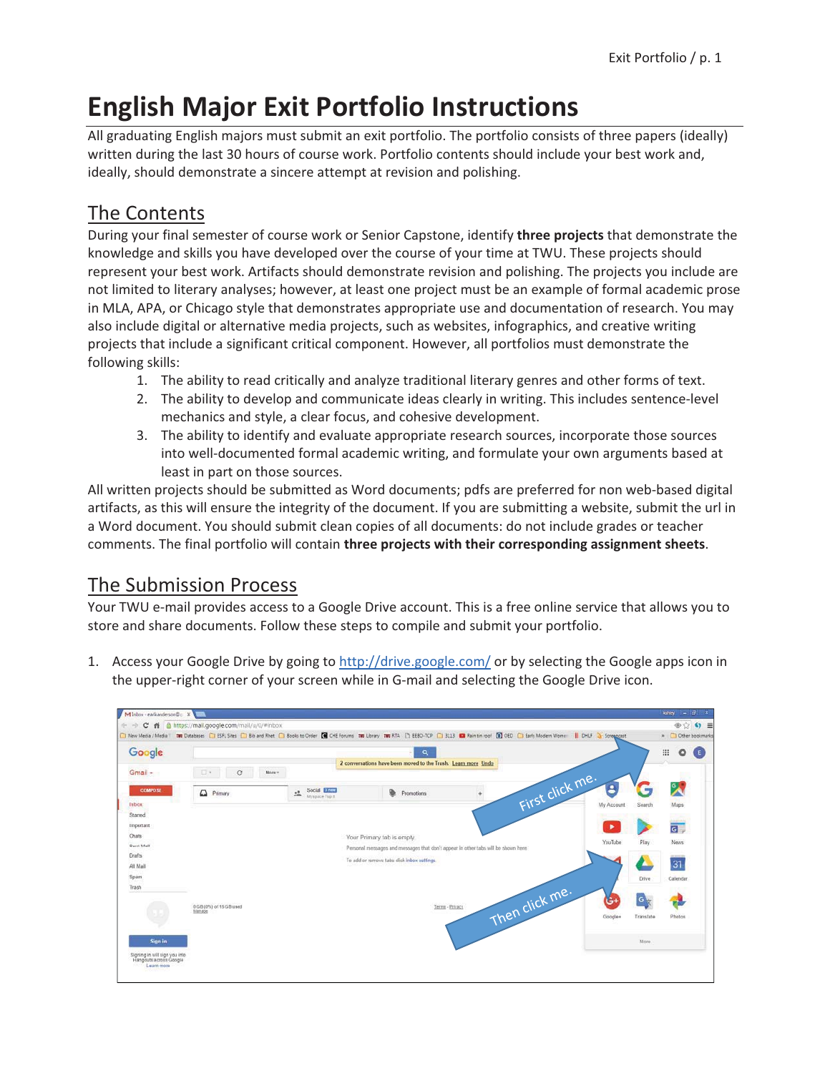## **English Major Exit Portfolio Instructions**

All graduating English majors must submit an exit portfolio. The portfolio consists of three papers (ideally) written during the last 30 hours of course work. Portfolio contents should include your best work and, ideally, should demonstrate a sincere attempt at revision and polishing.

## The Contents

During your final semester of course work or Senior Capstone, identify three projects that demonstrate the knowledge and skills you have developed over the course of your time at TWU. These projects should represent your best work. Artifacts should demonstrate revision and polishing. The projects you include are not limited to literary analyses; however, at least one project must be an example of formal academic prose in MLA, APA, or Chicago style that demonstrates appropriate use and documentation of research. You may also include digital or alternative media projects, such as websites, infographics, and creative writing projects that include a significant critical component. However, all portfolios must demonstrate the following skills:

- 1. The ability to read critically and analyze traditional literary genres and other forms of text.
- 2. The ability to develop and communicate ideas clearly in writing. This includes sentence-level mechanics and style, a clear focus, and cohesive development.
- 3. The ability to identify and evaluate appropriate research sources, incorporate those sources into well-documented formal academic writing, and formulate your own arguments based at least in part on those sources.

All written projects should be submitted as Word documents; pdfs are preferred for non web-based digital artifacts, as this will ensure the integrity of the document. If you are submitting a website, submit the url in a Word document. You should submit clean copies of all documents: do not include grades or teacher comments. The final portfolio will contain three projects with their corresponding assignment sheets.

## **The Submission Process**

Your TWU e-mail provides access to a Google Drive account. This is a free online service that allows you to store and share documents. Follow these steps to compile and submit your portfolio.

1. Access your Google Drive by going to http://drive.google.com/ or by selecting the Google apps icon in the upper-right corner of your screen while in G-mail and selecting the Google Drive icon.

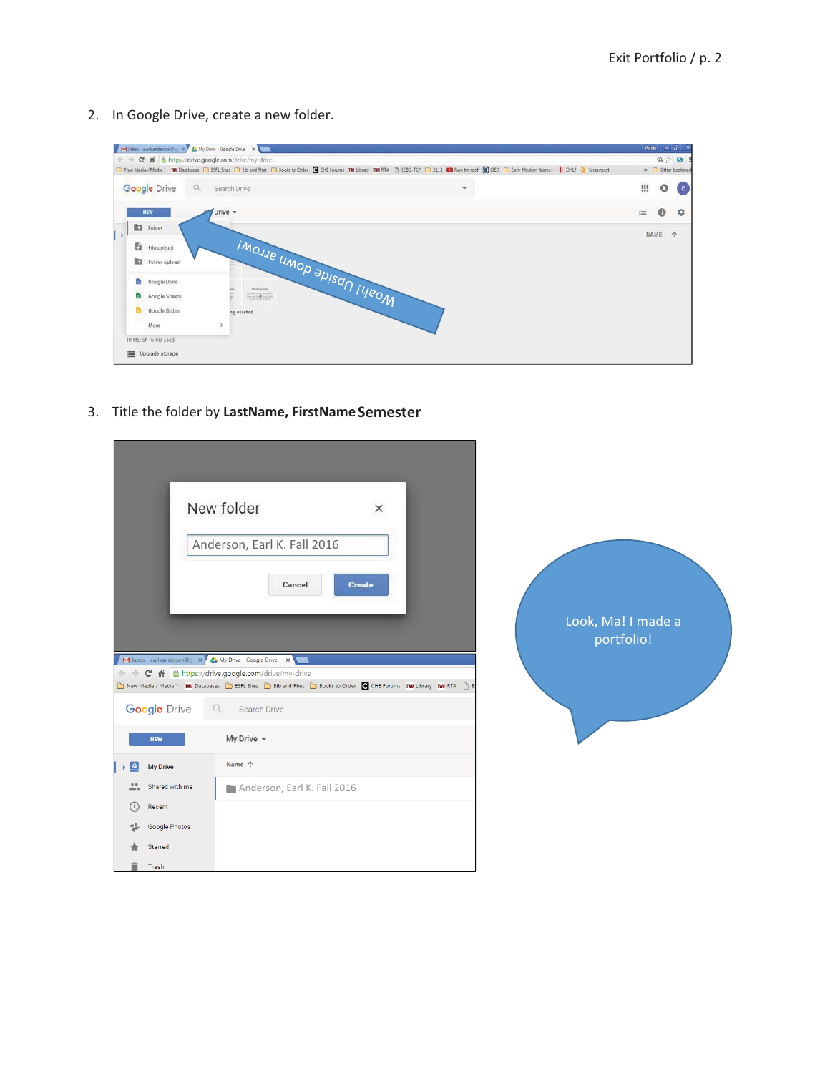2. In Google Drive, create a new folder.



3. Title the folder by LastName, FirstName Semester

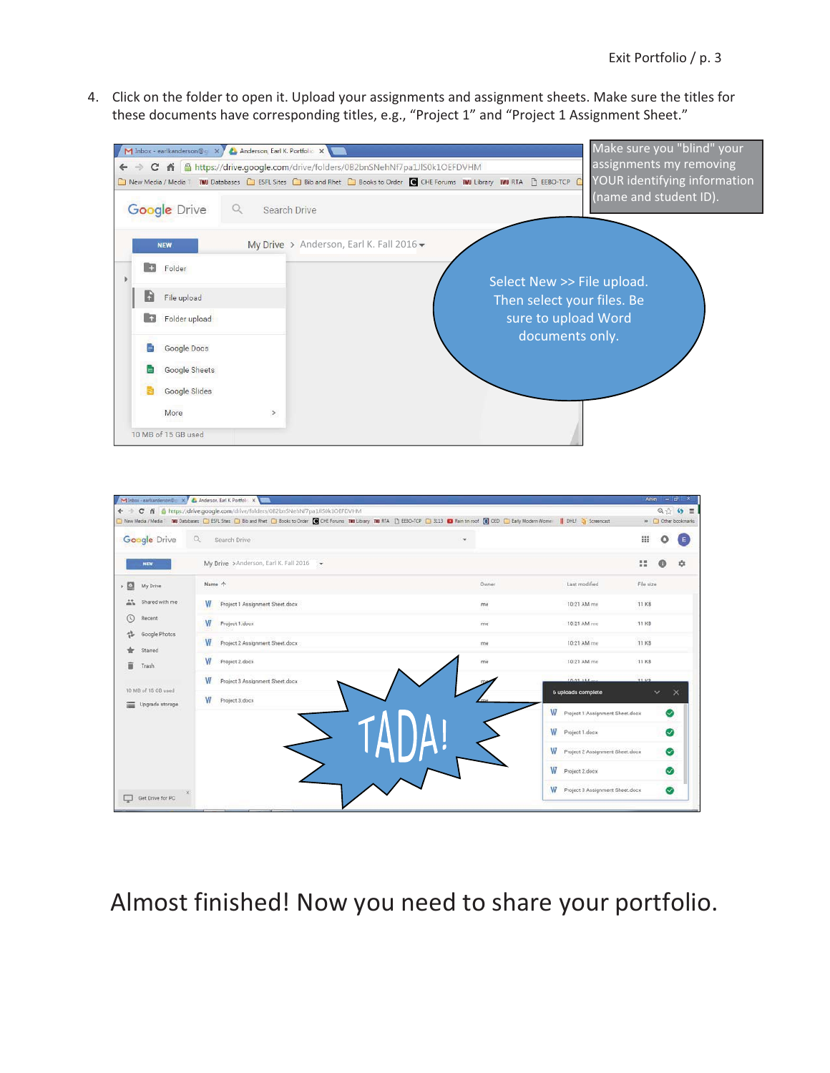4. Click on the folder to open it. Upload your assignments and assignment sheets. Make sure the titles for these documents have corresponding titles, e.g., "Project 1" and "Project 1 Assignment Sheet."



|                                        | ← → C & B https://drive.google.com/drive/folders/082bnSNehNf7pa1JIS0k1OEFDVHM<br>C New Media / Media / MM Databases C ESRL Stes C Bib and Rhet C Books to Order C CHE Forums TM Library TM RTA (2) EED-TCP C 3113 C Ran tin roof (8) OED C Early Modern Wome     DHLF 2) Screencast |              |                                      | $Q \leftrightarrow Q \equiv$<br>» Cther bookmarks |
|----------------------------------------|-------------------------------------------------------------------------------------------------------------------------------------------------------------------------------------------------------------------------------------------------------------------------------------|--------------|--------------------------------------|---------------------------------------------------|
| Google Drive                           | $\alpha$<br>Search Drive                                                                                                                                                                                                                                                            | $\mathbf{v}$ |                                      | :<br>o<br>Ε                                       |
| <b>NEW</b>                             | My Drive > Anderson, Earl K. Fall 2016 -                                                                                                                                                                                                                                            |              |                                      | ₩<br>ů                                            |
| o<br>My Drive                          | Name 个                                                                                                                                                                                                                                                                              | Owner        | Last modified                        | File size                                         |
| 蒜<br>Shared with me                    | W<br>Project 1 Assignment Sheet dock                                                                                                                                                                                                                                                | ma           | 10:21 AM me                          | 11 KB                                             |
| ര<br>Recent                            | W<br>Project 1.docx                                                                                                                                                                                                                                                                 | me.          | 10:21 AM me                          | 11 KB                                             |
| Google Photos<br>Starred               | W<br>Project 2 Assignment Sheet.docx                                                                                                                                                                                                                                                | me           | 10:21 AM me                          | <b>11 KB</b>                                      |
| Ĥ<br>Trash                             | W<br>Project 2.docx                                                                                                                                                                                                                                                                 | me           | 10:21 AM me                          | 11 KB                                             |
|                                        | W<br>Project 3 Assignment Sheet.docx                                                                                                                                                                                                                                                |              | TOOL ALL                             | 11 VD                                             |
| 10 MB of 15 GB used<br>Upgrade storage | w<br>Project 3.docx                                                                                                                                                                                                                                                                 |              | 6 uploads complete                   | $\checkmark$<br>x                                 |
|                                        |                                                                                                                                                                                                                                                                                     |              | W Project 1 Assignment Sheet dock    | $\rm \sim$                                        |
|                                        |                                                                                                                                                                                                                                                                                     |              | W Project 1 docx                     | ⊗                                                 |
|                                        |                                                                                                                                                                                                                                                                                     |              | W<br>Project 2 Assignment Sheet dock | $\bullet$                                         |
|                                        |                                                                                                                                                                                                                                                                                     |              | W<br>Project 2 docx                  | ⊗                                                 |
| Get Drive for PC                       |                                                                                                                                                                                                                                                                                     |              | W<br>Project 3 Assignment Sheet.docx | ◙                                                 |

## Almost finished! Now you need to share your portfolio.